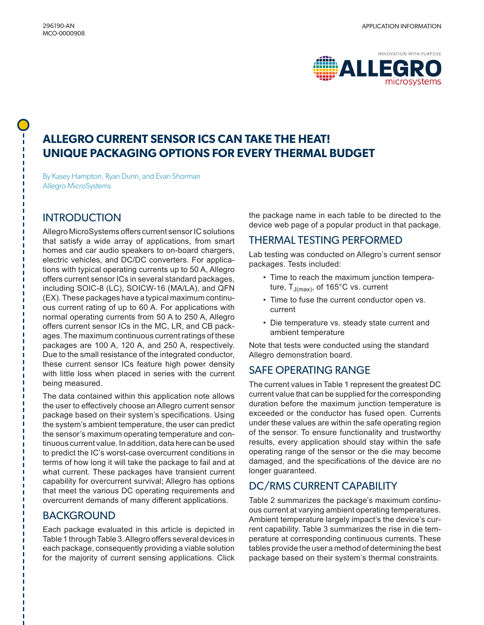

# **ALLEGRO CURRENT SENSOR ICS CAN TAKE THE HEAT! UNIQUE PACKAGING OPTIONS FOR EVERY THERMAL BUDGET**

By Kasey Hampton, Ryan Dunn, and Evan Shorman Allegro MicroSystems

### **INTRODUCTION**

Allegro MicroSystems offers current sensor IC solutions that satisfy a wide array of applications, from smart homes and car audio speakers to on-board chargers, electric vehicles, and DC/DC converters. For applications with typical operating currents up to 50 A, Allegro offers current sensor ICs in several standard packages, including SOIC-8 (LC), SOICW-16 (MA/LA), and QFN (EX). These packages have a typical maximum continuous current rating of up to 60 A. For applications with normal operating currents from 50 A to 250 A, Allegro offers current sensor ICs in the MC, LR, and CB packages. The maximum continuous current ratings of these packages are 100 A, 120 A, and 250 A, respectively. Due to the small resistance of the integrated conductor, these current sensor ICs feature high power density with little loss when placed in series with the current being measured.

The data contained within this application note allows the user to effectively choose an Allegro current sensor package based on their system's specifications. Using the system's ambient temperature, the user can predict the sensor's maximum operating temperature and continuous current value. In addition, data here can be used to predict the IC's worst-case overcurrent conditions in terms of how long it will take the package to fail and at what current. These packages have transient current capability for overcurrent survival; Allegro has options that meet the various DC operating requirements and overcurrent demands of many different applications.

### BACKGROUND

Each package evaluated in this article is depicted in [Table 1](#page-1-0) through [Table 3.](#page-2-0) Allegro offers several devices in each package, consequently providing a viable solution for the majority of current sensing applications. Click

the package name in each table to be directed to the device web page of a popular product in that package.

#### THERMAL TESTING PERFORMED

Lab testing was conducted on Allegro's current sensor packages. Tests included:

- Time to reach the maximum junction temperature,  $T_{J(max)}$ , of 165°C vs. current
- Time to fuse the current conductor open vs. current
- Die temperature vs. steady state current and ambient temperature

Note that tests were conducted using the standard Allegro demonstration board.

### SAFE OPERATING RANGE

The current values in [Table 1](#page-1-0) represent the greatest DC current value that can be supplied for the corresponding duration before the maximum junction temperature is exceeded or the conductor has fused open. Currents under these values are within the safe operating region of the sensor. To ensure functionality and trustworthy results, every application should stay within the safe operating range of the sensor or the die may become damaged, and the specifications of the device are no longer guaranteed.

## DC/RMS CURRENT CAPABILITY

[Table 2](#page-1-1) summarizes the package's maximum continuous current at varying ambient operating temperatures. Ambient temperature largely impact's the device's current capability. [Table 3](#page-2-0) summarizes the rise in die temperature at corresponding continuous currents. These tables provide the user a method of determining the best package based on their system's thermal constraints.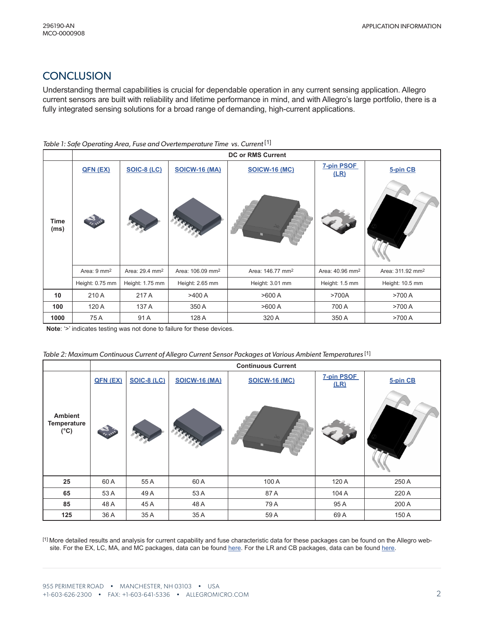## **CONCLUSION**

Understanding thermal capabilities is crucial for dependable operation in any current sensing application. Allegro current sensors are built with reliability and lifetime performance in mind, and with Allegro's large portfolio, there is a fully integrated sensing solutions for a broad range of demanding, high-current applications.

#### <span id="page-1-0"></span>Table 1: Safe Operating Area, Fuse and Overtemperature Time vs. Current<sup>[1]</sup>

|                     |                         |                            |                              | <b>DC or RMS Current</b>     |                             |                              |
|---------------------|-------------------------|----------------------------|------------------------------|------------------------------|-----------------------------|------------------------------|
|                     | QFN (EX)                | <b>SOIC-8 (LC)</b>         | <b>SOICW-16 (MA)</b>         | <b>SOICW-16 (MC)</b>         | 7-pin PSOF<br>(LR)          | 5-pin CB                     |
| <b>Time</b><br>(ms) |                         |                            |                              |                              |                             |                              |
|                     | Area: 9 mm <sup>2</sup> | Area: 29.4 mm <sup>2</sup> | Area: 106.09 mm <sup>2</sup> | Area: 146.77 mm <sup>2</sup> | Area: 40.96 mm <sup>2</sup> | Area: 311.92 mm <sup>2</sup> |
|                     | Height: 0.75 mm         | Height: 1.75 mm            | Height: 2.65 mm              | Height: 3.01 mm              | Height: 1.5 mm              | Height: 10.5 mm              |
| 10                  | 210 A                   | 217 A                      | >400 A                       | >600 A                       | >700A                       | >700 A                       |
| 100                 | 120 A                   | 137 A                      | 350 A                        | >600 A                       | 700 A                       | >700 A                       |
| 1000                | 75 A                    | 91 A                       | 128 A                        | 320 A                        | 350 A                       | >700 A                       |

**Note**: '>' indicates testing was not done to failure for these devices.

<span id="page-1-1"></span>

| Table 2: Maximum Continuous Current of Allegro Current Sensor Packages at Various Ambient Temperatures [1] |  |  |  |  |  |  |
|------------------------------------------------------------------------------------------------------------|--|--|--|--|--|--|
|------------------------------------------------------------------------------------------------------------|--|--|--|--|--|--|

|                                                       | <b>Continuous Current</b> |                    |                      |                      |                           |          |
|-------------------------------------------------------|---------------------------|--------------------|----------------------|----------------------|---------------------------|----------|
|                                                       | QFN (EX)                  | <b>SOIC-8 (LC)</b> | <b>SOICW-16 (MA)</b> | <b>SOICW-16 (MC)</b> | <b>7-pin PSOF</b><br>(LR) | 5-pin CB |
| <b>Ambient</b><br><b>Temperature</b><br>$(^{\circ}C)$ | <b>CALLES</b>             |                    | K.                   |                      |                           |          |
| 25                                                    | 60A                       | 55 A               | 60 A                 | 100 A                | 120 A                     | 250 A    |
| 65                                                    | 53 A                      | 49 A               | 53 A                 | 87 A                 | 104 A                     | 220 A    |
| 85                                                    | 48 A                      | 45 A               | 48 A                 | 79 A                 | 95 A                      | 200 A    |
| 125                                                   | 36 A                      | 35 A               | 35 A                 | 59 A                 | 69 A                      | 150 A    |

[1] More detailed results and analysis for current capability and fuse characteristic data for these packages can be found on the Allegro website. For the EX, LC, MA, and MC packages, data can be found [here.](https://allegromicro.com/en/insights-and-innovations/technical-documents/hall-effect-sensor-ic-publications/dc-and-transient-current-capability-fuse-characteristics) For the LR and CB packages, data can be found [here](https://allegromicro.com/en/insights-and-innovations/technical-documents/hall-effect-sensor-ic-publications/dc-current-capability-fuse-characteristics-current%20sensor-ics-50-200-a).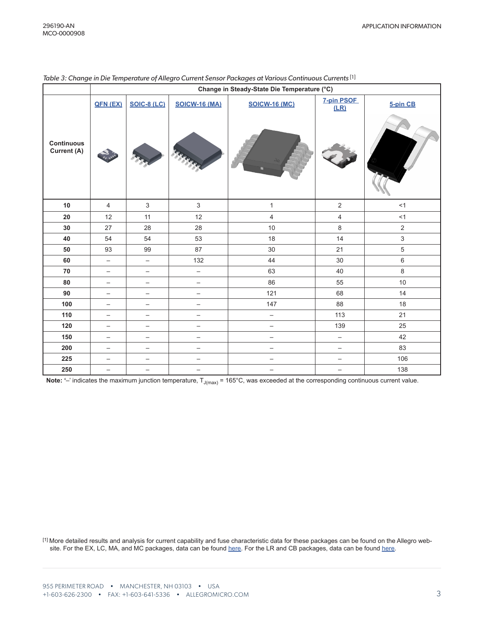|                                  | Change in Steady-State Die Temperature (°C) |                          |                          |                          |                           |                |
|----------------------------------|---------------------------------------------|--------------------------|--------------------------|--------------------------|---------------------------|----------------|
|                                  | QFN (EX)                                    | <b>SOIC-8 (LC)</b>       | <b>SOICW-16 (MA)</b>     | <b>SOICW-16 (MC)</b>     | <b>7-pin PSOF</b><br>(LR) | 5-pin CB       |
| <b>Continuous</b><br>Current (A) |                                             |                          |                          |                          |                           |                |
| 10                               | $\overline{4}$                              | $\mathfrak{S}$           | $\mathfrak{S}$           | $\mathbf{1}$             | $\overline{2}$            | <1             |
| ${\bf 20}$                       | 12                                          | 11                       | 12                       | $\overline{\mathbf{4}}$  | $\overline{4}$            | $<1\,$         |
| 30                               | 27                                          | 28                       | 28                       | 10                       | $\,8\,$                   | $\overline{2}$ |
| 40                               | 54                                          | 54                       | 53                       | 18                       | 14                        | $\mathsf 3$    |
| 50                               | 93                                          | 99                       | 87                       | 30                       | 21                        | $\sqrt{5}$     |
| 60                               | $\qquad \qquad -$                           | $\qquad \qquad -$        | 132                      | 44                       | 30                        | $\,6\,$        |
| ${\bf 70}$                       | $\overline{\phantom{0}}$                    | $\overline{\phantom{0}}$ | $\overline{\phantom{0}}$ | 63                       | 40                        | $\,8\,$        |
| 80                               | $\overline{\phantom{0}}$                    | $\overline{\phantom{0}}$ | $\qquad \qquad -$        | 86                       | 55                        | 10             |
| $90\,$                           | $\qquad \qquad -$                           | $\qquad \qquad -$        | $\overline{\phantom{m}}$ | 121                      | 68                        | 14             |
| 100                              | $\qquad \qquad -$                           | $\qquad \qquad -$        | $\overline{\phantom{m}}$ | 147                      | 88                        | 18             |
| 110                              | $\qquad \qquad -$                           | $\qquad \qquad -$        | $\overline{\phantom{0}}$ | $\qquad \qquad -$        | 113                       | 21             |
| 120                              | $\overline{\phantom{m}}$                    | $\qquad \qquad -$        | $\qquad \qquad -$        | $\qquad \qquad -$        | 139                       | 25             |
| 150                              | $\overline{\phantom{0}}$                    | $\qquad \qquad -$        | $\qquad \qquad -$        | $\qquad \qquad -$        | $\qquad \qquad -$         | 42             |
| 200                              | $\qquad \qquad -$                           | $\overline{\phantom{0}}$ | $\overline{\phantom{m}}$ | $\qquad \qquad -$        | $\overline{\phantom{0}}$  | 83             |
| 225                              | $\qquad \qquad -$                           | $\qquad \qquad -$        | $\overline{\phantom{m}}$ | $\overline{\phantom{m}}$ | $\overline{\phantom{0}}$  | 106            |
| 250                              | —                                           | $\overline{\phantom{0}}$ | $\qquad \qquad -$        | $\qquad \qquad -$        | $\qquad \qquad -$         | 138            |

#### <span id="page-2-0"></span>*Table 3: Change in Die Temperature of Allegro Current Sensor Packages at Various Continuous Currents* [1]

Note: '-' indicates the maximum junction temperature, T<sub>J(max)</sub> = 165°C, was exceeded at the corresponding continuous current value.

[1] More detailed results and analysis for current capability and fuse characteristic data for these packages can be found on the Allegro website. For the EX, LC, MA, and MC packages, data can be found [here.](https://allegromicro.com/en/insights-and-innovations/technical-documents/hall-effect-sensor-ic-publications/dc-and-transient-current-capability-fuse-characteristics) For the LR and CB packages, data can be found [here](https://allegromicro.com/en/insights-and-innovations/technical-documents/hall-effect-sensor-ic-publications/dc-current-capability-fuse-characteristics-current%20sensor-ics-50-200-a).